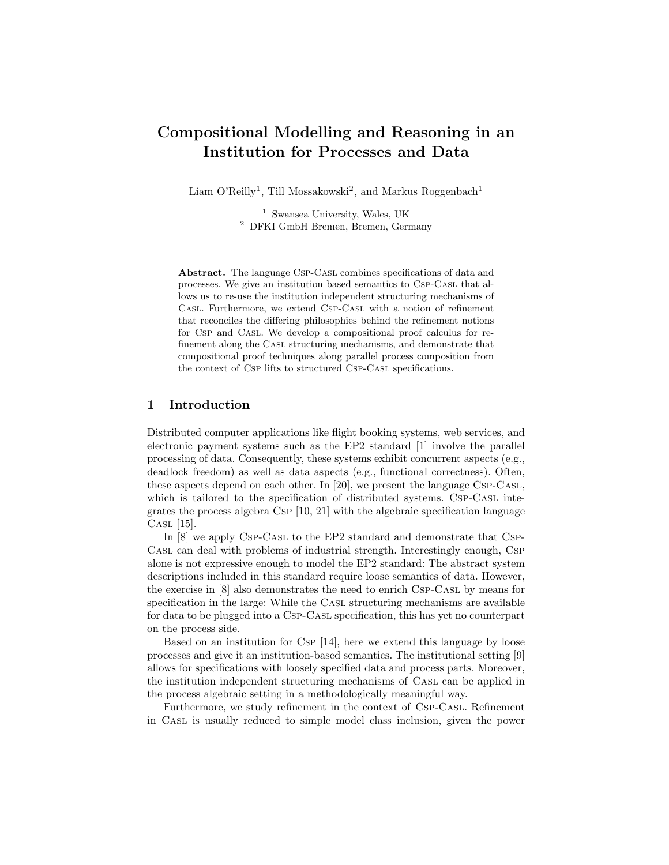# Compositional Modelling and Reasoning in an Institution for Processes and Data

Liam O'Reilly<sup>1</sup>, Till Mossakowski<sup>2</sup>, and Markus Roggenbach<sup>1</sup>

<sup>1</sup> Swansea University, Wales, UK <sup>2</sup> DFKI GmbH Bremen, Bremen, Germany

Abstract. The language Csp-CASL combines specifications of data and processes. We give an institution based semantics to Csp-Casl that allows us to re-use the institution independent structuring mechanisms of Casl. Furthermore, we extend Csp-Casl with a notion of refinement that reconciles the differing philosophies behind the refinement notions for Csp and Casl. We develop a compositional proof calculus for refinement along the Casl structuring mechanisms, and demonstrate that compositional proof techniques along parallel process composition from the context of Csp lifts to structured Csp-Casl specifications.

# 1 Introduction

Distributed computer applications like flight booking systems, web services, and electronic payment systems such as the EP2 standard [1] involve the parallel processing of data. Consequently, these systems exhibit concurrent aspects (e.g., deadlock freedom) as well as data aspects (e.g., functional correctness). Often, these aspects depend on each other. In [20], we present the language Csp-Casl, which is tailored to the specification of distributed systems. Csp-CASL integrates the process algebra Csp [10, 21] with the algebraic specification language CASL [15].

In [8] we apply Csp-Casl to the EP2 standard and demonstrate that Csp-Casl can deal with problems of industrial strength. Interestingly enough, Csp alone is not expressive enough to model the EP2 standard: The abstract system descriptions included in this standard require loose semantics of data. However, the exercise in [8] also demonstrates the need to enrich Csp-Casl by means for specification in the large: While the CASL structuring mechanisms are available for data to be plugged into a Csp-Casl specification, this has yet no counterpart on the process side.

Based on an institution for Csp [14], here we extend this language by loose processes and give it an institution-based semantics. The institutional setting [9] allows for specifications with loosely specified data and process parts. Moreover, the institution independent structuring mechanisms of Casl can be applied in the process algebraic setting in a methodologically meaningful way.

Furthermore, we study refinement in the context of Csp-Casl. Refinement in Casl is usually reduced to simple model class inclusion, given the power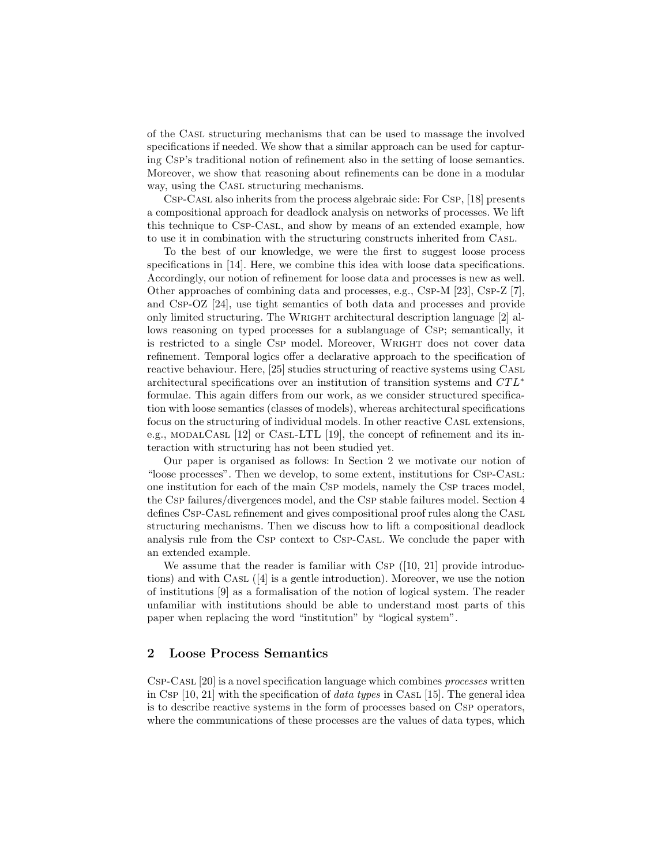of the Casl structuring mechanisms that can be used to massage the involved specifications if needed. We show that a similar approach can be used for capturing Csp's traditional notion of refinement also in the setting of loose semantics. Moreover, we show that reasoning about refinements can be done in a modular way, using the CASL structuring mechanisms.

Csp-Casl also inherits from the process algebraic side: For Csp, [18] presents a compositional approach for deadlock analysis on networks of processes. We lift this technique to Csp-Casl, and show by means of an extended example, how to use it in combination with the structuring constructs inherited from Casl.

To the best of our knowledge, we were the first to suggest loose process specifications in [14]. Here, we combine this idea with loose data specifications. Accordingly, our notion of refinement for loose data and processes is new as well. Other approaches of combining data and processes, e.g., Csp-M  $[23]$ , Csp-Z  $[7]$ , and Csp-OZ [24], use tight semantics of both data and processes and provide only limited structuring. The WRIGHT architectural description language [2] allows reasoning on typed processes for a sublanguage of Csp; semantically, it is restricted to a single Csp model. Moreover, Wright does not cover data refinement. Temporal logics offer a declarative approach to the specification of reactive behaviour. Here, [25] studies structuring of reactive systems using Casl architectural specifications over an institution of transition systems and  $CTL^*$ formulae. This again differs from our work, as we consider structured specification with loose semantics (classes of models), whereas architectural specifications focus on the structuring of individual models. In other reactive Casl extensions, e.g., MODALCASL  $[12]$  or CASL-LTL  $[19]$ , the concept of refinement and its interaction with structuring has not been studied yet.

Our paper is organised as follows: In Section 2 we motivate our notion of "loose processes". Then we develop, to some extent, institutions for Csp-Casl: one institution for each of the main Csp models, namely the Csp traces model, the Csp failures/divergences model, and the Csp stable failures model. Section 4 defines Csp-Casl refinement and gives compositional proof rules along the Casl structuring mechanisms. Then we discuss how to lift a compositional deadlock analysis rule from the Csp context to Csp-Casl. We conclude the paper with an extended example.

We assume that the reader is familiar with Csp  $([10, 21]$  provide introductions) and with Casl ([4] is a gentle introduction). Moreover, we use the notion of institutions [9] as a formalisation of the notion of logical system. The reader unfamiliar with institutions should be able to understand most parts of this paper when replacing the word "institution" by "logical system".

## 2 Loose Process Semantics

Csp-Casl [20] is a novel specification language which combines processes written in Csp  $[10, 21]$  with the specification of *data types* in CASL  $[15]$ . The general idea is to describe reactive systems in the form of processes based on Csp operators, where the communications of these processes are the values of data types, which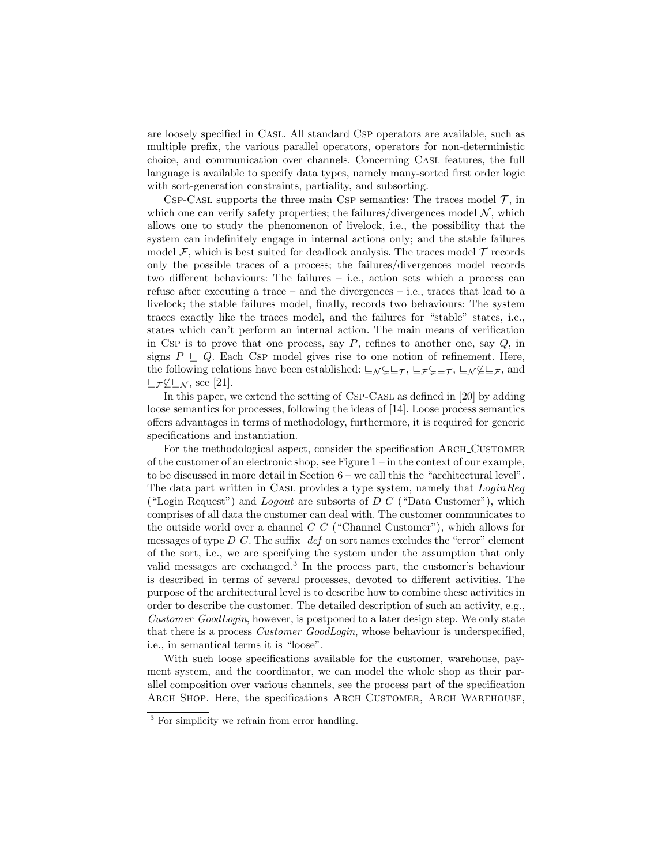are loosely specified in Casl. All standard Csp operators are available, such as multiple prefix, the various parallel operators, operators for non-deterministic choice, and communication over channels. Concerning Casl features, the full language is available to specify data types, namely many-sorted first order logic with sort-generation constraints, partiality, and subsorting.

CSP-CASL supports the three main CSP semantics: The traces model  $\mathcal{T}$ , in which one can verify safety properties; the failures/divergences model  $\mathcal{N}$ , which allows one to study the phenomenon of livelock, i.e., the possibility that the system can indefinitely engage in internal actions only; and the stable failures model  $\mathcal F$ , which is best suited for deadlock analysis. The traces model  $\mathcal T$  records only the possible traces of a process; the failures/divergences model records two different behaviours: The failures – i.e., action sets which a process can refuse after executing a trace – and the divergences – i.e., traces that lead to a livelock; the stable failures model, finally, records two behaviours: The system traces exactly like the traces model, and the failures for "stable" states, i.e., states which can't perform an internal action. The main means of verification in Csp is to prove that one process, say  $P$ , refines to another one, say  $Q$ , in signs  $P \sqsubseteq Q$ . Each Csp model gives rise to one notion of refinement. Here, the following relations have been established:  $\subseteq_N \subsetneq \subseteq_T$ ,  $\subseteq_F \subsetneq \subseteq_T$ ,  $\subseteq_N \not\subseteq \subseteq_F$ , and  $E_{\mathcal{F}} \not\subseteq E_{\mathcal{N}}$ , see [21].

In this paper, we extend the setting of Csp-Casl as defined in [20] by adding loose semantics for processes, following the ideas of [14]. Loose process semantics offers advantages in terms of methodology, furthermore, it is required for generic specifications and instantiation.

For the methodological aspect, consider the specification ARCH\_CUSTOMER of the customer of an electronic shop, see Figure 1 – in the context of our example, to be discussed in more detail in Section 6 – we call this the "architectural level". The data part written in CASL provides a type system, namely that  $LoginReg$ ("Login Request") and *Logout* are subsorts of  $D_C$  ("Data Customer"), which comprises of all data the customer can deal with. The customer communicates to the outside world over a channel  $C_{\text{-}}C$  ("Channel Customer"), which allows for messages of type  $D\_C$ . The suffix  $\mathcal{A}$ ef on sort names excludes the "error" element of the sort, i.e., we are specifying the system under the assumption that only valid messages are exchanged.<sup>3</sup> In the process part, the customer's behaviour is described in terms of several processes, devoted to different activities. The purpose of the architectural level is to describe how to combine these activities in order to describe the customer. The detailed description of such an activity, e.g., Customer GoodLogin, however, is postponed to a later design step. We only state that there is a process *Customer\_GoodLogin*, whose behaviour is underspecified, i.e., in semantical terms it is "loose".

With such loose specifications available for the customer, warehouse, payment system, and the coordinator, we can model the whole shop as their parallel composition over various channels, see the process part of the specification Arch Shop. Here, the specifications Arch Customer, Arch Warehouse,

<sup>&</sup>lt;sup>3</sup> For simplicity we refrain from error handling.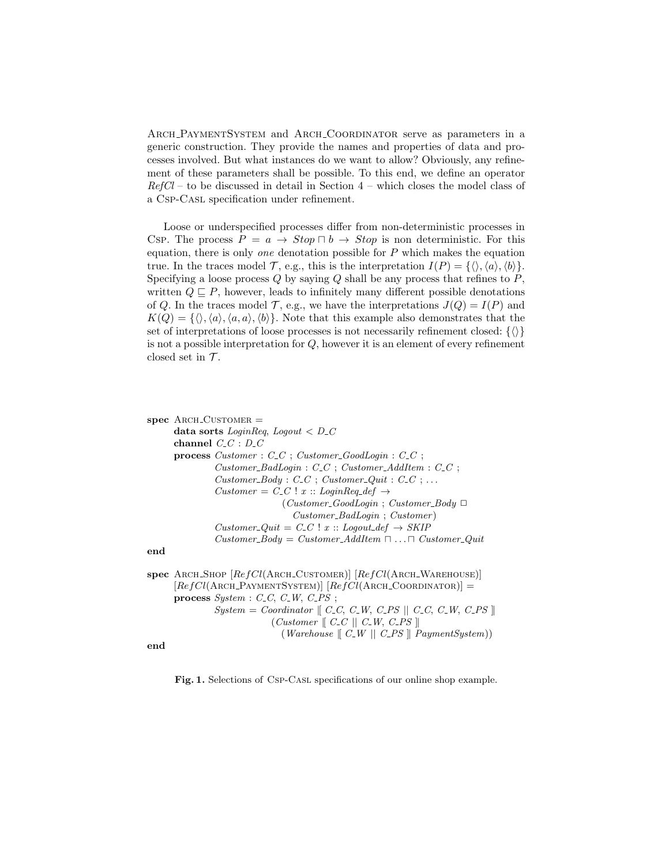Arch PaymentSystem and Arch Coordinator serve as parameters in a generic construction. They provide the names and properties of data and processes involved. But what instances do we want to allow? Obviously, any refinement of these parameters shall be possible. To this end, we define an operator  $RefCl -$  to be discussed in detail in Section  $4$  – which closes the model class of a Csp-Casl specification under refinement.

Loose or underspecified processes differ from non-deterministic processes in Csp. The process  $P = a \rightarrow Stop \sqcap b \rightarrow Stop$  is non deterministic. For this equation, there is only one denotation possible for  $P$  which makes the equation true. In the traces model  $\mathcal{T}$ , e.g., this is the interpretation  $I(P) = {\langle \langle \rangle, \langle a \rangle, \langle b \rangle}.$ Specifying a loose process  $Q$  by saying  $Q$  shall be any process that refines to  $P$ , written  $Q \subseteq P$ , however, leads to infinitely many different possible denotations of Q. In the traces model  $\mathcal{T}$ , e.g., we have the interpretations  $J(Q) = I(P)$  and  $K(Q) = {\langle \langle \cdot, \langle a \rangle, \langle a, a \rangle, \langle b \rangle \rangle}.$  Note that this example also demonstrates that the set of interpretations of loose processes is not necessarily refinement closed:  $\{\langle\rangle\}$ is not a possible interpretation for Q, however it is an element of every refinement closed set in  $\mathcal{T}$ .

```
spec ARCH_CUSTOMER =data sorts LoginReg, Logout < D_Cchannel C<sub>-C</sub> : D<sub>-C</sub>
process Customer : C_C; Customer\_GoodLogin : C_C;
         Customer\_BadLogin : C\_C; Customer\_AddItem : C\_C;
         Customer\_Body: C\_C; Customer\_Quit: C\_C; ...Customer = C\_C ! x :: LoginReq_def \rightarrow(Customer\_GoodLogin ; Customer\_Body \BoxCustomer BadLogin ; Customer )
         Customer\_Quit = C\_C ! x :: Logout\_def \rightarrow SKIPCustomer\_Body = Customer\_AddItem \sqcap ... \sqcap Customer\_Quitend
```

```
spec ARCH_SHOP [RefCl(ARCH-CUSTOMER)] [RefCl(ARCH-WAREHOUSE)][RefCl(ARCH_PAYMENTSYSTEM)] [RefCl(ARCH-COORDINATOR)] =process System : C_C, C_W, C_P S;\label{eq:system} System = \emph{Coordinate}\parallel \emph{C\_C}, \emph{C\_W}, \emph{C\_PS} \parallel \emph{C\_C}, \emph{C\_W}, \emph{C\_PS} \parallel(Customer \parallel C_C \parallel C_W, C_P S \parallel)(Warehouse \mid C_W \mid C_P S \mid PaymentSystem))
```
end

Fig. 1. Selections of Csp-Casl specifications of our online shop example.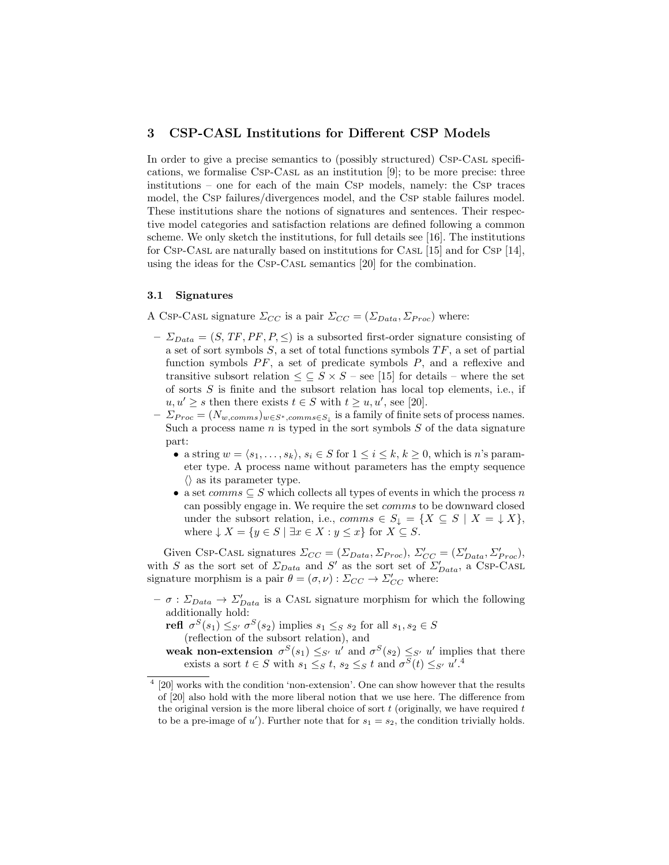# 3 CSP-CASL Institutions for Different CSP Models

In order to give a precise semantics to (possibly structured) Csp-Cast specifications, we formalise Csp-Casl as an institution [9]; to be more precise: three institutions – one for each of the main Csp models, namely: the Csp traces model, the Csp failures/divergences model, and the Csp stable failures model. These institutions share the notions of signatures and sentences. Their respective model categories and satisfaction relations are defined following a common scheme. We only sketch the institutions, for full details see [16]. The institutions for Csp-Casl are naturally based on institutions for Casl [15] and for Csp [14], using the ideas for the Csp-Casl semantics [20] for the combination.

#### 3.1 Signatures

A Csp-Casl signature  $\Sigma_{CC}$  is a pair  $\Sigma_{CC} = (\Sigma_{Data}, \Sigma_{Proc})$  where:

- $-\Sigma_{Data} = (S, TF, PF, P, \leq)$  is a subsorted first-order signature consisting of a set of sort symbols  $S$ , a set of total functions symbols  $TF$ , a set of partial function symbols  $PF$ , a set of predicate symbols  $P$ , and a reflexive and transitive subsort relation  $\leq \subseteq S \times S$  – see [15] for details – where the set of sorts  $S$  is finite and the subsort relation has local top elements, i.e., if  $u, u' \geq s$  then there exists  $t \in S$  with  $t \geq u, u'$ , see [20].
- $-\sum_{Proc} = (N_{w,comms})_{w \in S^*, comms \in S_{\downarrow}}$  is a family of finite sets of process names. Such a process name  $n$  is typed in the sort symbols  $S$  of the data signature part:
	- a string  $w = \langle s_1, \ldots, s_k \rangle, s_i \in S$  for  $1 \leq i \leq k, k \geq 0$ , which is n's parameter type. A process name without parameters has the empty sequence  $\langle \rangle$  as its parameter type.
	- a set comms  $\subseteq S$  which collects all types of events in which the process n can possibly engage in. We require the set comms to be downward closed under the subsort relation, i.e.,  $comms \in S_{\downarrow} = \{X \subseteq S \mid X = \downarrow X\},\$ where  $\downarrow X = \{y \in S \mid \exists x \in X : y \leq x\}$  for  $X \subseteq S$ .

Given Csp-Casl signatures  $\Sigma_{CC} = (\Sigma_{Data}, \Sigma_{Proc}), \Sigma'_{CC} = (\Sigma'_{Data}, \Sigma'_{Proc}),$ with S as the sort set of  $\Sigma_{Data}$  and S' as the sort set of  $\Sigma'_{Data}$ , a CSP-CASL signature morphism is a pair  $\theta = (\sigma, \nu) : \Sigma_{CC} \to \Sigma'_{CC}$  where:

 $- \sigma : \Sigma_{Data} \to \Sigma'_{Data}$  is a CASL signature morphism for which the following additionally hold:

refl  $\sigma^S(s_1) \leq_{S'} \sigma^S(s_2)$  implies  $s_1 \leq_S s_2$  for all  $s_1, s_2 \in S$ (reflection of the subsort relation), and

weak non-extension  $\sigma^S(s_1) \leq_{S'} u'$  and  $\sigma^S(s_2) \leq_{S'} u'$  implies that there exists a sort  $t \in S$  with  $s_1 \leq_S t$ ,  $s_2 \leq_S t$  and  $\sigma^S(t) \leq_{S'} u'.^4$ 

<sup>&</sup>lt;sup>4</sup> [20] works with the condition 'non-extension'. One can show however that the results of [20] also hold with the more liberal notion that we use here. The difference from the original version is the more liberal choice of sort  $t$  (originally, we have required  $t$ to be a pre-image of u'). Further note that for  $s_1 = s_2$ , the condition trivially holds.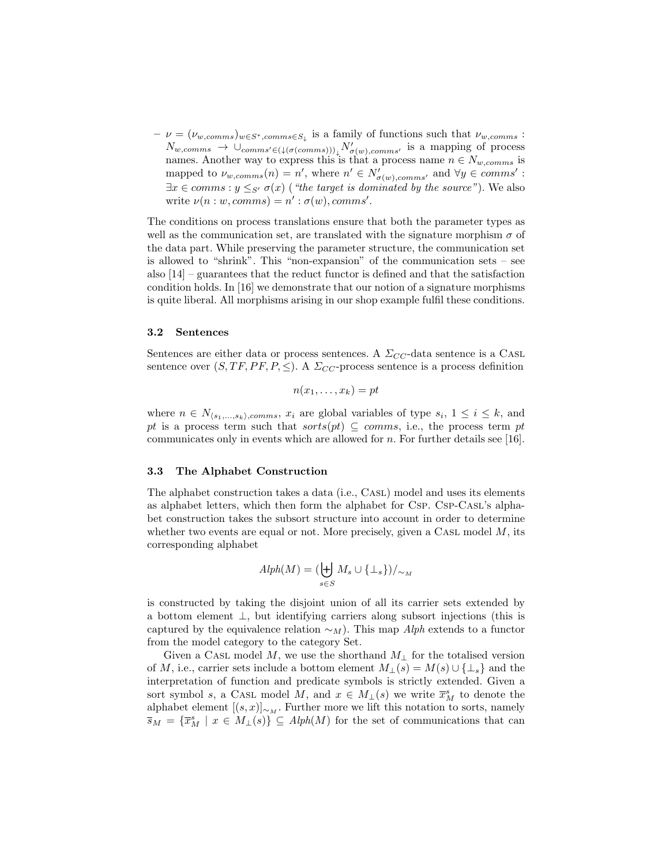$-\nu = (\nu_{w,comms})_{w \in S^*, comms \in S_{\downarrow}}$  is a family of functions such that  $\nu_{w,comms}$ :  $N_{w,comms} \rightarrow \cup_{comms' \in (\downarrow (\sigma(comms)))_{\downarrow}} N'_{\sigma(w),comms'}$  is a mapping of process names. Another way to express this is that a process name  $n \in N_{w,comms}$  is mapped to  $\nu_{w,comms}(n) = n'$ , where  $n' \in N'_{\sigma(w),comms'}$  and  $\forall y \in comms'$ :  $\exists x \in comms : y \leq_{S'} \sigma(x)$  ("the target is dominated by the source"). We also write  $\nu(n:w, comms) = n' : \sigma(w), comms'.$ 

The conditions on process translations ensure that both the parameter types as well as the communication set, are translated with the signature morphism  $\sigma$  of the data part. While preserving the parameter structure, the communication set is allowed to "shrink". This "non-expansion" of the communication sets – see also  $[14]$  – guarantees that the reduct functor is defined and that the satisfaction condition holds. In [16] we demonstrate that our notion of a signature morphisms is quite liberal. All morphisms arising in our shop example fulfil these conditions.

#### 3.2 Sentences

Sentences are either data or process sentences. A  $\Sigma_{CC}$ -data sentence is a CASL sentence over  $(S, TF, PF, P, \leq)$ . A  $\Sigma_{CC}$ -process sentence is a process definition

$$
n(x_1,\ldots,x_k)=pt
$$

where  $n \in N_{\langle s_1,...,s_k\rangle,comms}, x_i$  are global variables of type  $s_i, 1 \leq i \leq k$ , and pt is a process term such that  $sorts(pt) \subseteq comms$ , i.e., the process term pt communicates only in events which are allowed for  $n$ . For further details see [16].

#### 3.3 The Alphabet Construction

The alphabet construction takes a data (i.e., CASL) model and uses its elements as alphabet letters, which then form the alphabet for Csp. Csp-Casl's alphabet construction takes the subsort structure into account in order to determine whether two events are equal or not. More precisely, given a CASL model  $M$ , its corresponding alphabet

$$
Alph(M) = (\biguplus_{s \in S} M_s \cup \{\perp_s\})/_{\sim_M}
$$

is constructed by taking the disjoint union of all its carrier sets extended by a bottom element ⊥, but identifying carriers along subsort injections (this is captured by the equivalence relation  $\sim_M$ ). This map Alph extends to a functor from the model category to the category Set.

Given a CASL model M, we use the shorthand  $M_{\perp}$  for the totalised version of M, i.e., carrier sets include a bottom element  $M_{\perp}(s) = M(s) \cup {\perp_s}$  and the interpretation of function and predicate symbols is strictly extended. Given a sort symbol s, a CASL model M, and  $x \in M_+(s)$  we write  $\overline{x}_M^s$  to denote the alphabet element  $[(s, x)]_{\sim_M}$ . Further more we lift this notation to sorts, namely  $\overline{s}_M = {\overline{x}_M^s \mid x \in M_1(s)} \subseteq Alph(M)$  for the set of communications that can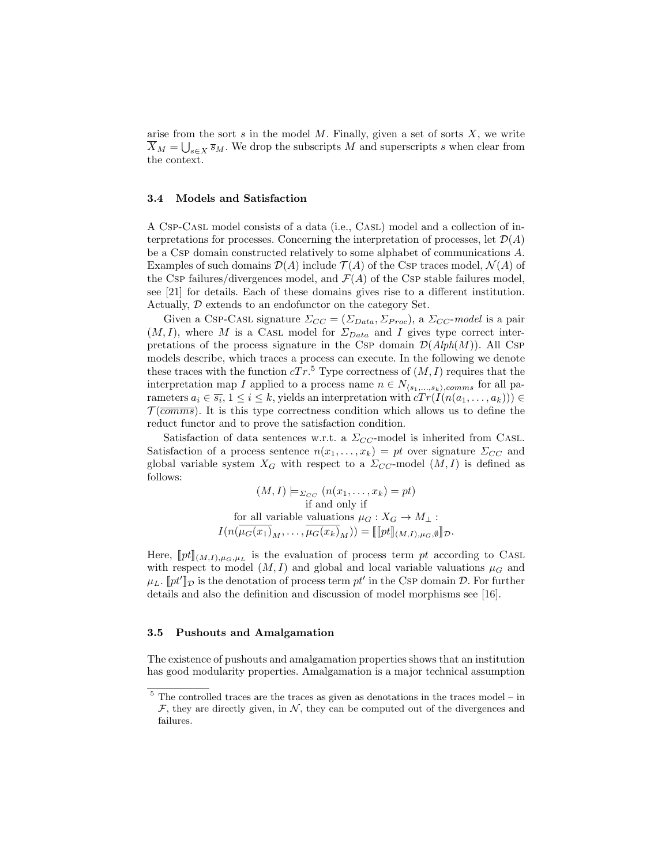arise from the sort  $s$  in the model  $M$ . Finally, given a set of sorts  $X$ , we write  $\overline{X}_M = \bigcup_{s \in X} \overline{s}_M$ . We drop the subscripts M and superscripts s when clear from the context.

## 3.4 Models and Satisfaction

A Csp-Casl model consists of a data (i.e., Casl) model and a collection of interpretations for processes. Concerning the interpretation of processes, let  $\mathcal{D}(A)$ be a Csp domain constructed relatively to some alphabet of communications A. Examples of such domains  $\mathcal{D}(A)$  include  $\mathcal{T}(A)$  of the Csp traces model,  $\mathcal{N}(A)$  of the Csp failures/divergences model, and  $\mathcal{F}(A)$  of the Csp stable failures model, see [21] for details. Each of these domains gives rise to a different institution. Actually, D extends to an endofunctor on the category Set.

Given a Csp-Cast signature  $\Sigma_{CC} = (\Sigma_{Data}, \Sigma_{Proc})$ , a  $\Sigma_{CC}$ -model is a pair  $(M, I)$ , where M is a CASL model for  $\Sigma_{Data}$  and I gives type correct interpretations of the process signature in the Csp domain  $\mathcal{D}(Alph(M))$ . All Csp models describe, which traces a process can execute. In the following we denote these traces with the function  $cTr$ <sup>5</sup> Type correctness of  $(M, I)$  requires that the interpretation map I applied to a process name  $n \in N_{\langle s_1,...,s_k\rangle,comms}$  for all parameters  $a_i \in \overline{s_i}$ ,  $1 \le i \le k$ , yields an interpretation with  $cTr(I(n(a_1, \ldots, a_k))) \in$  $\mathcal{T}(\overline{comms})$ . It is this type correctness condition which allows us to define the reduct functor and to prove the satisfaction condition.

Satisfaction of data sentences w.r.t. a  $\Sigma_{CC}$ -model is inherited from CASL. Satisfaction of a process sentence  $n(x_1, \ldots, x_k) = pt$  over signature  $\Sigma_{CC}$  and global variable system  $X_G$  with respect to a  $\Sigma_{CC}$ -model  $(M, I)$  is defined as follows:

$$
(M, I) \models_{\Sigma_{CC}} (n(x_1, \dots, x_k) = pt)
$$
  
if and only if  
for all variable valuations  $\mu_G : X_G \to M_\perp :$   

$$
I(n(\overline{\mu_G(x_1)}_M, \dots, \overline{\mu_G(x_k)}_M)) = [[pt]]_{(M, I), \mu_G, \emptyset}]\mathcal{D}.
$$

Here,  $[pt]_{(M,I),\mu_G,\mu_L}$  is the evaluation of process term pt according to CASL<br>with respect to model (M, L) and global and local variable valuations  $\mu_L$  and with respect to model  $(M, I)$  and global and local variable valuations  $\mu_G$  and  $\mu_L$ .  $[pt']_{\mathcal{D}}$  is the denotation of process term pt' in the CSP domain  $\mathcal{D}$ . For further details and also the definition and discussion of model morphisms see [16].

#### 3.5 Pushouts and Amalgamation

The existence of pushouts and amalgamation properties shows that an institution has good modularity properties. Amalgamation is a major technical assumption

 $^5$  The controlled traces are the traces as given as denotations in the traces model – in  $\mathcal F$ , they are directly given, in  $\mathcal N$ , they can be computed out of the divergences and failures.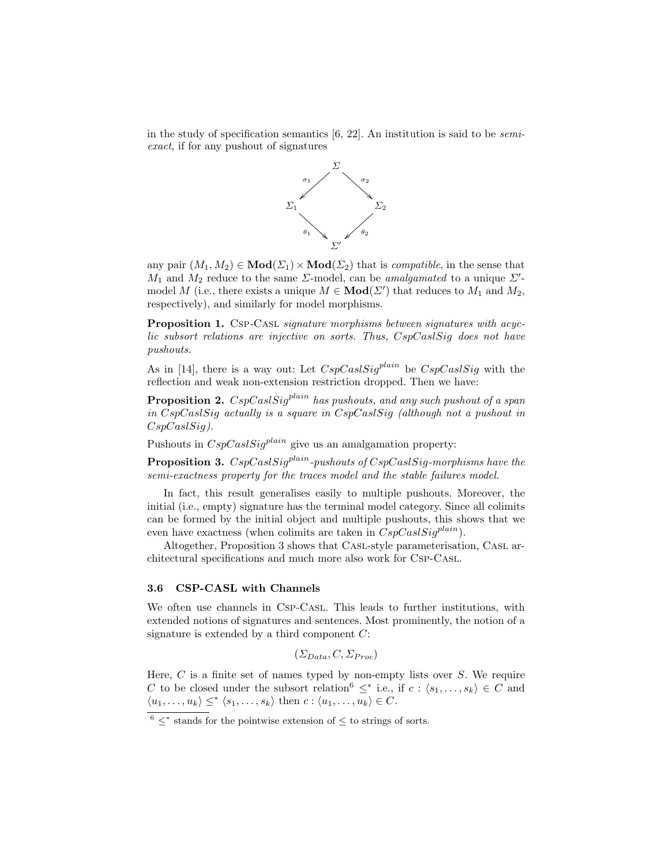in the study of specification semantics  $[6, 22]$ . An institution is said to be *semi*exact, if for any pushout of signatures



any pair  $(M_1, M_2) \in \text{Mod}(\Sigma_1) \times \text{Mod}(\Sigma_2)$  that is *compatible*, in the sense that  $M_1$  and  $M_2$  reduce to the same  $\Sigma$ -model, can be *amalgamated* to a unique  $\Sigma'$ model M (i.e., there exists a unique  $M \in Mod(\Sigma')$  that reduces to  $M_1$  and  $M_2$ , respectively), and similarly for model morphisms.

Proposition 1. Csp-Casl *signature morphisms between signatures with acyc*lic subsort relations are injective on sorts. Thus, CspCaslSig does not have pushouts.

As in [14], there is a way out: Let  $CspCaslSig^{plain}$  be  $CspCaslSig$  with the reflection and weak non-extension restriction dropped. Then we have:

**Proposition 2.**  $CspCasisiq^{plain}$  has pushouts, and any such pushout of a span in CspCaslSig actually is a square in CspCaslSig (although not a pushout in CspCaslSig).

Pushouts in  $CspCalsig<sup>plain</sup>$  give us an amalgamation property:

**Proposition 3.**  $CspCaslSig<sup>plain</sup>$ -pushouts of  $CspCaslSig$ -morphisms have the semi-exactness property for the traces model and the stable failures model.

In fact, this result generalises easily to multiple pushouts. Moreover, the initial (i.e., empty) signature has the terminal model category. Since all colimits can be formed by the initial object and multiple pushouts, this shows that we even have exactness (when colimits are taken in  $CspCasisiq^{plain}$ ).

Altogether, Proposition 3 shows that Casl-style parameterisation, Casl architectural specifications and much more also work for Csp-Casl.

## 3.6 CSP-CASL with Channels

We often use channels in Csp-Casl. This leads to further institutions, with extended notions of signatures and sentences. Most prominently, the notion of a signature is extended by a third component C:

$$
(\Sigma_{Data}, C, \Sigma_{Proc})
$$

Here,  $C$  is a finite set of names typed by non-empty lists over  $S$ . We require C to be closed under the subsort relation<sup>6</sup>  $\leq^*$  i.e., if  $c: \langle s_1, \ldots, s_k \rangle \in C$  and  $\langle u_1, \ldots, u_k \rangle \leq^* \langle s_1, \ldots, s_k \rangle$  then  $c : \langle u_1, \ldots, u_k \rangle \in C$ .

 $6 \leq^*$  stands for the pointwise extension of  $\leq$  to strings of sorts.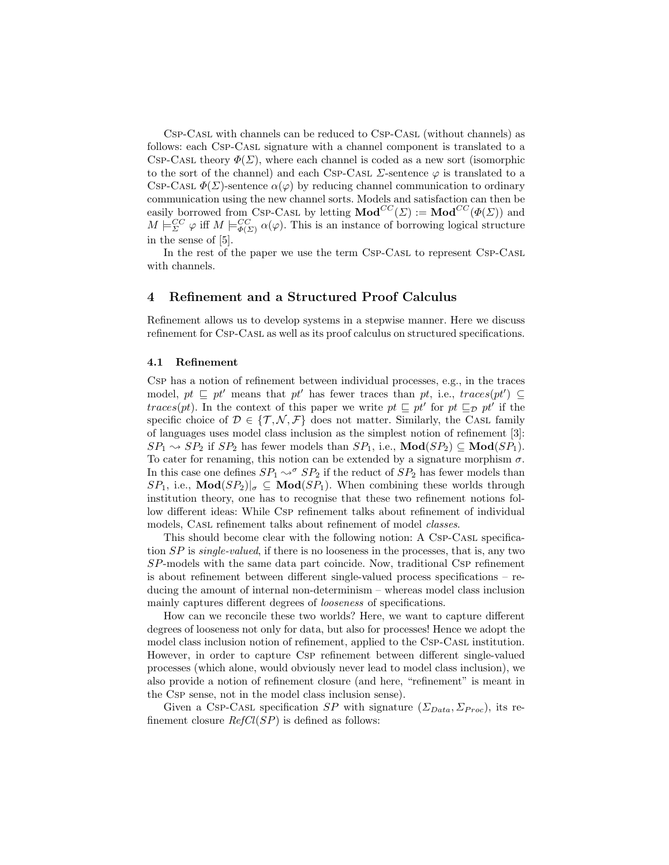Csp-Casl with channels can be reduced to Csp-Casl (without channels) as follows: each Csp-Casl signature with a channel component is translated to a CSP-CASL theory  $\Phi(\Sigma)$ , where each channel is coded as a new sort (isomorphic to the sort of the channel) and each Csp-Cast  $\Sigma$ -sentence  $\varphi$  is translated to a CSP-CASL  $\Phi(\Sigma)$ -sentence  $\alpha(\varphi)$  by reducing channel communication to ordinary communication using the new channel sorts. Models and satisfaction can then be easily borrowed from Csp-Casl by letting  $\mathbf{Mod}^{CC}(\Sigma) := \mathbf{Mod}^{CC}(\Phi(\Sigma))$  and  $M \models_{\Sigma}^{CC} \varphi$  iff  $M \models_{\Phi(\Sigma)}^{CC} \alpha(\varphi)$ . This is an instance of borrowing logical structure in the sense of [5].

In the rest of the paper we use the term CsP-CasL to represent CsP-CasL with channels.

# 4 Refinement and a Structured Proof Calculus

Refinement allows us to develop systems in a stepwise manner. Here we discuss refinement for Csp-Casl as well as its proof calculus on structured specifications.

#### 4.1 Refinement

Csp has a notion of refinement between individual processes, e.g., in the traces model,  $pt \subseteq pt'$  means that  $pt'$  has fewer traces than  $pt$ , i.e.,  $traces(pt') \subseteq$ traces(pt). In the context of this paper we write  $pt \subseteq pt'$  for  $pt \subseteq pt'$  if the specific choice of  $\mathcal{D} \in \{\mathcal{T}, \mathcal{N}, \mathcal{F}\}\$  does not matter. Similarly, the CASL family of languages uses model class inclusion as the simplest notion of refinement [3]:  $SP_1 \rightsquigarrow SP_2$  if  $SP_2$  has fewer models than  $SP_1$ , i.e.,  $\text{Mod}(SP_2) \subseteq \text{Mod}(SP_1)$ . To cater for renaming, this notion can be extended by a signature morphism  $\sigma$ . In this case one defines  $SP_1 \rightsquigarrow^{\sigma} SP_2$  if the reduct of  $SP_2$  has fewer models than  $SP_1$ , i.e.,  $\text{Mod}(SP_2)|_{\sigma} \subseteq \text{Mod}(SP_1)$ . When combining these worlds through institution theory, one has to recognise that these two refinement notions follow different ideas: While Csp refinement talks about refinement of individual models, Casl refinement talks about refinement of model classes.

This should become clear with the following notion: A Csp-Casl specification  $SP$  is *single-valued*, if there is no looseness in the processes, that is, any two SP-models with the same data part coincide. Now, traditional Csp refinement is about refinement between different single-valued process specifications – reducing the amount of internal non-determinism – whereas model class inclusion mainly captures different degrees of *looseness* of specifications.

How can we reconcile these two worlds? Here, we want to capture different degrees of looseness not only for data, but also for processes! Hence we adopt the model class inclusion notion of refinement, applied to the CSP-CASL institution. However, in order to capture Csp refinement between different single-valued processes (which alone, would obviously never lead to model class inclusion), we also provide a notion of refinement closure (and here, "refinement" is meant in the Csp sense, not in the model class inclusion sense).

Given a Csp-Casl specification  $SP$  with signature  $(\Sigma_{Data}, \Sigma_{Proc})$ , its refinement closure  $RefCl(SP)$  is defined as follows: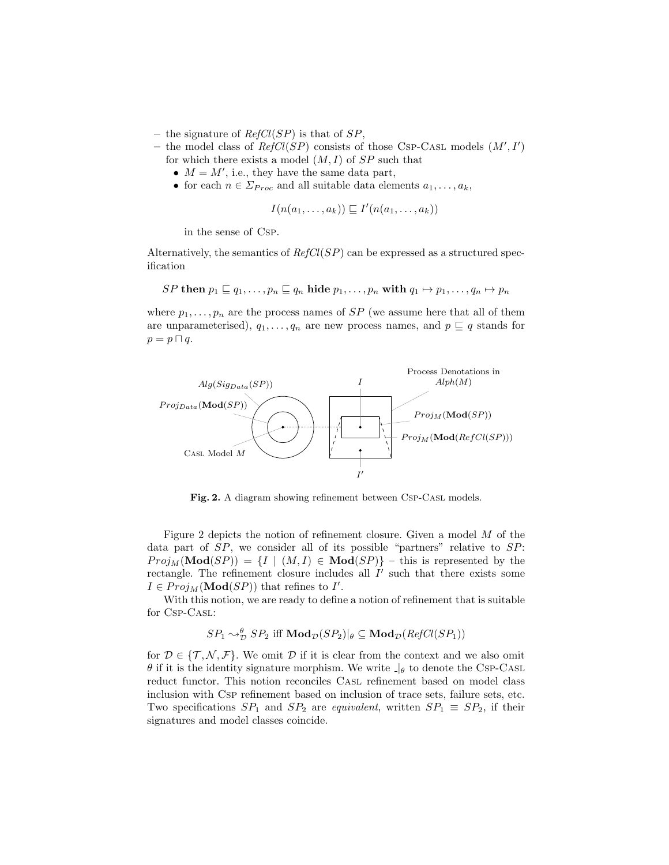- the signature of  $RefCl(SP)$  is that of  $SP$ ,
- the model class of  $RefCl(SP)$  consists of those CSP-CASL models  $(M', I')$ for which there exists a model  $(M, I)$  of  $SP$  such that
	- $M = M'$ , i.e., they have the same data part,
	- for each  $n \in \Sigma_{Proc}$  and all suitable data elements  $a_1, \ldots, a_k$ ,

$$
I(n(a_1,\ldots,a_k)) \sqsubseteq I'(n(a_1,\ldots,a_k))
$$

in the sense of Csp.

Alternatively, the semantics of  $RefCl(SP)$  can be expressed as a structured specification

SP then  $p_1 \sqsubseteq q_1, \ldots, p_n \sqsubseteq q_n$  hide  $p_1, \ldots, p_n$  with  $q_1 \mapsto p_1, \ldots, q_n \mapsto p_n$ 

where  $p_1, \ldots, p_n$  are the process names of SP (we assume here that all of them are unparameterised),  $q_1, \ldots, q_n$  are new process names, and  $p \sqsubseteq q$  stands for  $p = p \sqcap q$ .



Fig. 2. A diagram showing refinement between Csp-CasL models.

Figure 2 depicts the notion of refinement closure. Given a model M of the data part of SP, we consider all of its possible "partners" relative to SP:  $Proj_M(\textbf{Mod}(SP)) = \{I \mid (M, I) \in \textbf{Mod}(SP)\}\$  – this is represented by the rectangle. The refinement closure includes all  $I'$  such that there exists some  $I \in Proj_M(\mathbf{Mod}(SP))$  that refines to I'.

With this notion, we are ready to define a notion of refinement that is suitable for Csp-Casl:

$$
SP_1 \sim_{\mathcal{D}}^{\theta} SP_2 \text{ iff } \mathbf{Mod}_{\mathcal{D}}(SP_2)|_{\theta} \subseteq \mathbf{Mod}_{\mathcal{D}}(RefCl(SP_1))
$$

for  $\mathcal{D} \in \{\mathcal{T}, \mathcal{N}, \mathcal{F}\}.$  We omit  $\mathcal{D}$  if it is clear from the context and we also omit  $\theta$  if it is the identity signature morphism. We write  $\theta$  to denote the CSP-CASL reduct functor. This notion reconciles CASL refinement based on model class inclusion with Csp refinement based on inclusion of trace sets, failure sets, etc. Two specifications  $SP_1$  and  $SP_2$  are *equivalent*, written  $SP_1 \equiv SP_2$ , if their signatures and model classes coincide.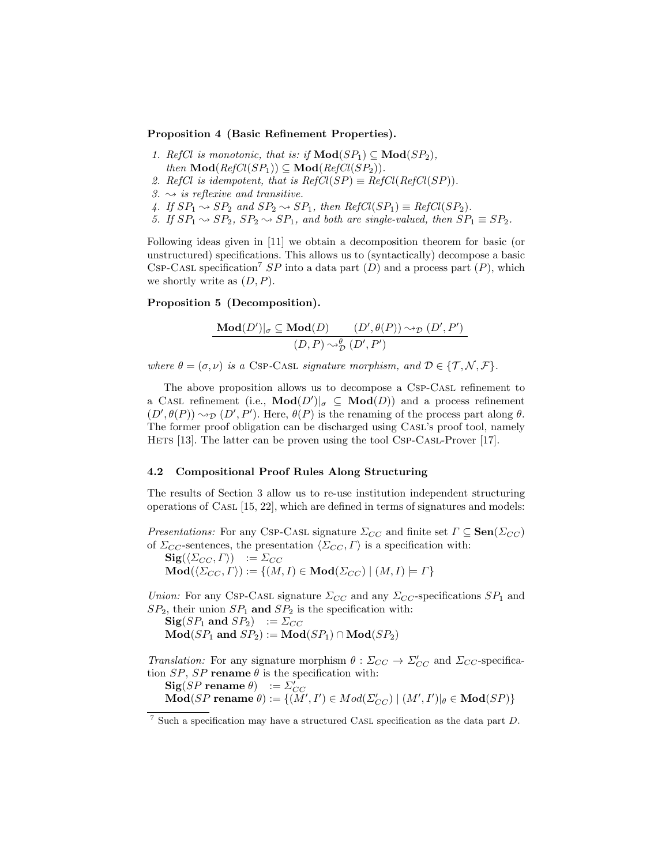#### Proposition 4 (Basic Refinement Properties).

- 1. RefCl is monotonic, that is: if  $\mathbf{Mod}(SP_1) \subseteq \mathbf{Mod}(SP_2)$ , then  $\text{Mod}(RefCl(SP_1)) \subseteq \text{Mod}(RefCl(SP_2)).$
- 2. RefCl is idempotent, that is  $RefCl(SP) \equiv RefCl(RefCl(SP)).$
- 3.  $\rightsquigarrow$  is reflexive and transitive.
- 4. If  $SP_1 \rightsquigarrow SP_2$  and  $SP_2 \rightsquigarrow SP_1$ , then  $RefCl(SP_1) \equiv RefCl(SP_2)$ .
- 5. If  $SP_1 \rightsquigarrow SP_2$ ,  $SP_2 \rightsquigarrow SP_1$ , and both are single-valued, then  $SP_1 \equiv SP_2$ .

Following ideas given in [11] we obtain a decomposition theorem for basic (or unstructured) specifications. This allows us to (syntactically) decompose a basic CSP-CASL specification<sup>7</sup> SP into a data part  $(D)$  and a process part  $(P)$ , which we shortly write as  $(D, P)$ .

## Proposition 5 (Decomposition).

$$
\frac{\text{Mod}(D')|_{\sigma} \subseteq \text{Mod}(D)}{(D, P) \sim_{\mathcal{D}}^{\theta} (D', P')}\n \qquad\n (D', P')
$$

where  $\theta = (\sigma, \nu)$  is a CSP-CASL signature morphism, and  $\mathcal{D} \in \{\mathcal{T}, \mathcal{N}, \mathcal{F}\}.$ 

The above proposition allows us to decompose a Csp-Casl refinement to a CASL refinement (i.e.,  $\text{Mod}(D')|_{\sigma} \subseteq \text{Mod}(D)$ ) and a process refinement  $(D', \theta(P)) \rightsquigarrow_{\mathcal{D}} (D', P')$ . Here,  $\theta(P)$  is the renaming of the process part along  $\theta$ . The former proof obligation can be discharged using Casl's proof tool, namely Hets [13]. The latter can be proven using the tool Csp-Casl-Prover [17].

## 4.2 Compositional Proof Rules Along Structuring

The results of Section 3 allow us to re-use institution independent structuring operations of CASL  $[15, 22]$ , which are defined in terms of signatures and models:

*Presentations:* For any Csp-Cast signature  $\Sigma_{CC}$  and finite set  $\Gamma \subseteq \textbf{Sen}(\Sigma_{CC})$ of  $\Sigma_{CC}$ -sentences, the presentation  $\langle \Sigma_{CC}, \Gamma \rangle$  is a specification with:

 ${\bf Sig}(\langle \Sigma_{CC} , \varGamma \rangle ) \quad := \varSigma_{CC}$  $\mathbf{Mod}(\langle \Sigma_{CC} , \Gamma \rangle) := \{(M,I) \in \mathbf{Mod}(\Sigma_{CC}) \mid (M,I) \models \Gamma\}$ 

Union: For any Csp-Cast signature  $\Sigma_{CC}$  and any  $\Sigma_{CC}$ -specifications  $SP_1$  and  $SP_2$ , their union  $SP_1$  and  $SP_2$  is the specification with:

 $\text{Sig}(SP_1 \text{ and } SP_2) \quad := \Sigma_{CC}$  $\mathbf{Mod}(SP_1 \text{ and } SP_2) := \mathbf{Mod}(SP_1) \cap \mathbf{Mod}(SP_2)$ 

*Translation:* For any signature morphism  $\theta : \Sigma_{CC} \to \Sigma'_{CC}$  and  $\Sigma_{CC}$ -specification  $SP$ ,  $SP$  rename  $\theta$  is the specification with:

 $\text{Sig}(SP \text{ rename } \theta) := \sum'_{CC}$ <br>  $\text{Mod}(SP \text{ rename } \theta) := \{(M', I') \in Mod(\Sigma'_{CC}) \mid (M', I')|_{\theta} \in \text{Mod}(SP)\}\$ 

 $^7$  Such a specification may have a structured CASL specification as the data part  $D.$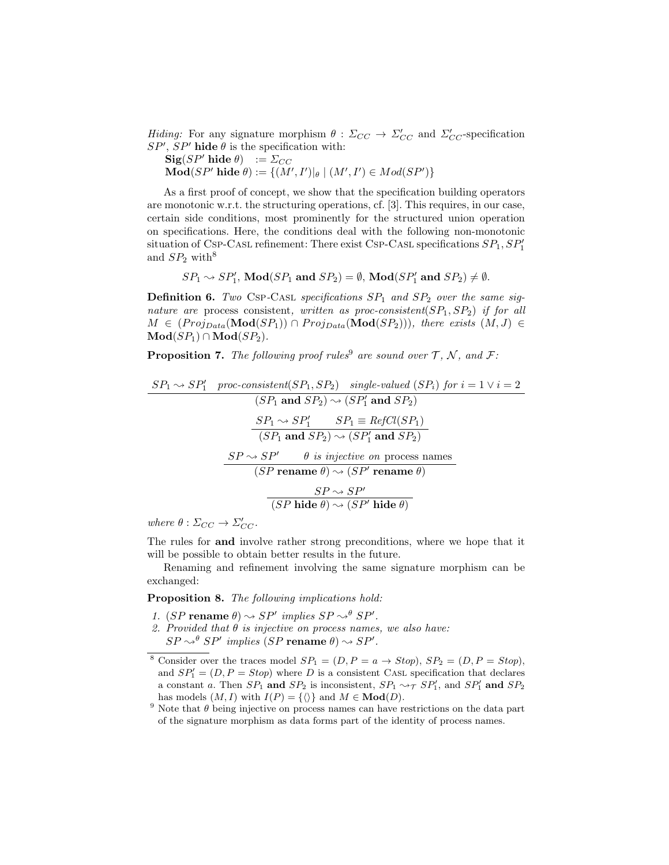Hiding: For any signature morphism  $\theta : \Sigma_{CC} \to \Sigma'_{CC}$  and  $\Sigma'_{CC}$ -specification  $SP', SP'$  hide  $\theta$  is the specification with:

 $\textbf{Sig}(SP'\text{ hide }\theta) := \Sigma_{CC}$  $\mathbf{Mod}(SP' \text{ hide } \theta) := \{ (M', I') |_{\theta} \mid (M', I') \in Mod(SP') \}$ 

As a first proof of concept, we show that the specification building operators are monotonic w.r.t. the structuring operations, cf. [3]. This requires, in our case, certain side conditions, most prominently for the structured union operation on specifications. Here, the conditions deal with the following non-monotonic situation of Csp-Casl refinement: There exist Csp-Casl specifications  $SP_1, SP'_1$ and  $SP<sub>2</sub>$  with<sup>8</sup>

$$
SP_1 \sim SP'_1
$$
,  $Mod(SP_1 \text{ and } SP_2) = \emptyset$ ,  $Mod(SP'_1 \text{ and } SP_2) \neq \emptyset$ .

**Definition 6.** Two CSP-CASL specifications  $SP_1$  and  $SP_2$  over the same signature are process consistent, written as proc-consistent( $SP_1, SP_2$ ) if for all  $M \in (Proj_{Data}(Mod(SP_1)) \cap Proj_{Data}(Mod(SP_2)))$ , there exists  $(M, J) \in$  $\mathbf{Mod}(SP_1) \cap \mathbf{Mod}(SP_2).$ 

**Proposition 7.** The following proof rules<sup>9</sup> are sound over  $\mathcal{T}, \mathcal{N},$  and  $\mathcal{F}$ :

$$
\frac{SP_1 \rightarrow SP'_1 \quad proc-consistent(SP_1, SP_2) \quad single-valued (SP_i) \; for \; i = 1 \lor i = 2}{(SP_1 \text{ and } SP_2) \leadsto (SP'_1 \text{ and } SP_2)}
$$
\n
$$
\frac{SP_1 \rightarrow SP'_1 \qquad SP_1 \equiv RefCl(SP_1)}{(SP_1 \text{ and } SP_2) \leadsto (SP'_1 \text{ and } SP_2)}
$$
\n
$$
\frac{SP \leadsto SP' \qquad \theta \text{ is injective on process names}}{(SP \text{ rename } \theta) \leadsto (SP' \text{ rename } \theta)}
$$
\n
$$
\frac{SP \leadsto SP'}{(SP \text{ hide } \theta) \leadsto (SP' \text{ hide } \theta)}
$$

where  $\theta : \Sigma_{CC} \to \Sigma'_{CC}$ .

The rules for and involve rather strong preconditions, where we hope that it will be possible to obtain better results in the future.

Renaming and refinement involving the same signature morphism can be exchanged:

Proposition 8. The following implications hold:

- 1. (SP rename  $\theta$ )  $\rightsquigarrow$  SP' implies SP  $\rightsquigarrow^{\theta}$  SP'.
- 2. Provided that  $\theta$  is injective on process names, we also have:  $SP \rightsquigarrow^{\theta} SP'$  implies  $(SP \textbf{ rename } \theta) \rightsquigarrow SP'.$

<sup>&</sup>lt;sup>8</sup> Consider over the traces model  $SP_1 = (D, P = a \rightarrow Stop)$ ,  $SP_2 = (D, P = Stop)$ , and  $SP'_{1} = (D, P = Stop)$  where D is a consistent CASL specification that declares a constant a. Then  $SP_1$  and  $SP_2$  is inconsistent,  $SP_1 \rightarrow_T SP'_1$ , and  $SP'_1$  and  $SP_2$ has models  $(M, I)$  with  $I(P) = {\langle} \rangle$  and  $M \in \mathbf{Mod}(D)$ .

<sup>&</sup>lt;sup>9</sup> Note that  $\theta$  being injective on process names can have restrictions on the data part of the signature morphism as data forms part of the identity of process names.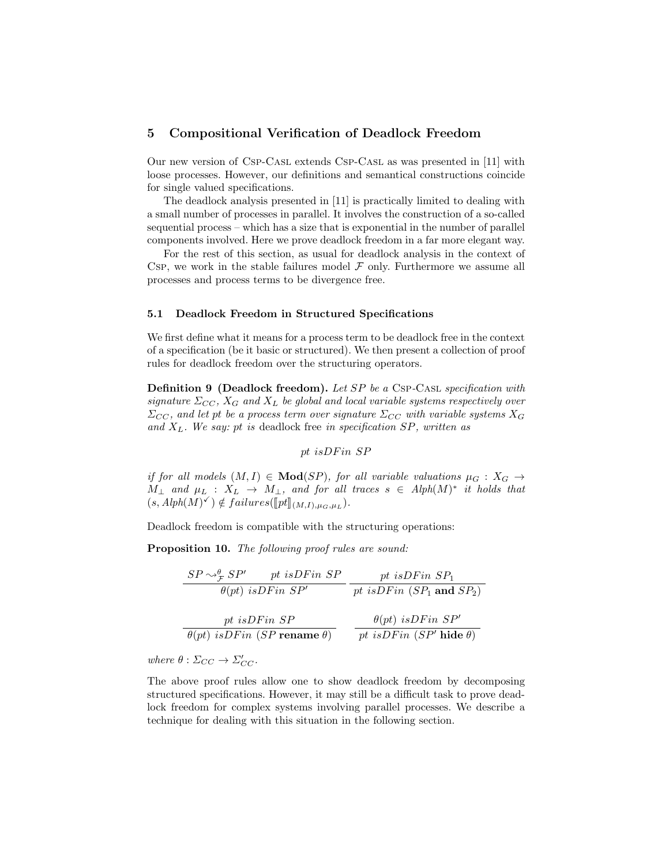# 5 Compositional Verification of Deadlock Freedom

Our new version of Csp-Casl extends Csp-Casl as was presented in [11] with loose processes. However, our definitions and semantical constructions coincide for single valued specifications.

The deadlock analysis presented in [11] is practically limited to dealing with a small number of processes in parallel. It involves the construction of a so-called sequential process – which has a size that is exponential in the number of parallel components involved. Here we prove deadlock freedom in a far more elegant way.

For the rest of this section, as usual for deadlock analysis in the context of Csp, we work in the stable failures model  $\mathcal F$  only. Furthermore we assume all processes and process terms to be divergence free.

## 5.1 Deadlock Freedom in Structured Specifications

We first define what it means for a process term to be deadlock free in the context of a specification (be it basic or structured). We then present a collection of proof rules for deadlock freedom over the structuring operators.

**Definition 9 (Deadlock freedom).** Let SP be a CSP-CASL specification with signature  $\Sigma_{CC}$ ,  $X_G$  and  $X_L$  be global and local variable systems respectively over  $\Sigma_{CC}$ , and let pt be a process term over signature  $\Sigma_{CC}$  with variable systems  $X_G$ and  $X_L$ . We say: pt is deadlock free in specification SP, written as

## pt isDFin SP

if for all models  $(M, I) \in Mod(SP)$ , for all variable valuations  $\mu_G : X_G \to$  $M_{\perp}$  and  $\mu_L$  :  $X_L \rightarrow M_{\perp}$ , and for all traces  $s \in Alph(M)^*$  it holds that  $(s, Alph(M)^{\checkmark}) \notin failures([\overline{pt}]_{(M,I),\mu_G,\mu_L}).$ 

Deadlock freedom is compatible with the structuring operations:

Proposition 10. The following proof rules are sound:

$$
\frac{SP \rightsquigarrow_{\mathcal{F}}^{0} SP' \quad pt \text{ is } DF \text{ in } SP}{\theta(pt) \text{ is } DF \text{ in } SP'} \quad \frac{pt \text{ is } DF \text{ in } SP_1}{pt \text{ is } DF \text{ in } (SP_1 \text{ and } SP_2)}
$$
\n
$$
\frac{pt \text{ is } DF \text{ in } SP}{\theta(pt) \text{ is } DF \text{ in } (SP \text{ rename } \theta)} \quad \frac{\theta(pt) \text{ is } DF \text{ in } SP'}{pt \text{ is } DF \text{ in } (SP' \text{ hide } \theta)}
$$

where  $\theta : \Sigma_{CC} \to \Sigma'_{CC}$ .

The above proof rules allow one to show deadlock freedom by decomposing structured specifications. However, it may still be a difficult task to prove deadlock freedom for complex systems involving parallel processes. We describe a technique for dealing with this situation in the following section.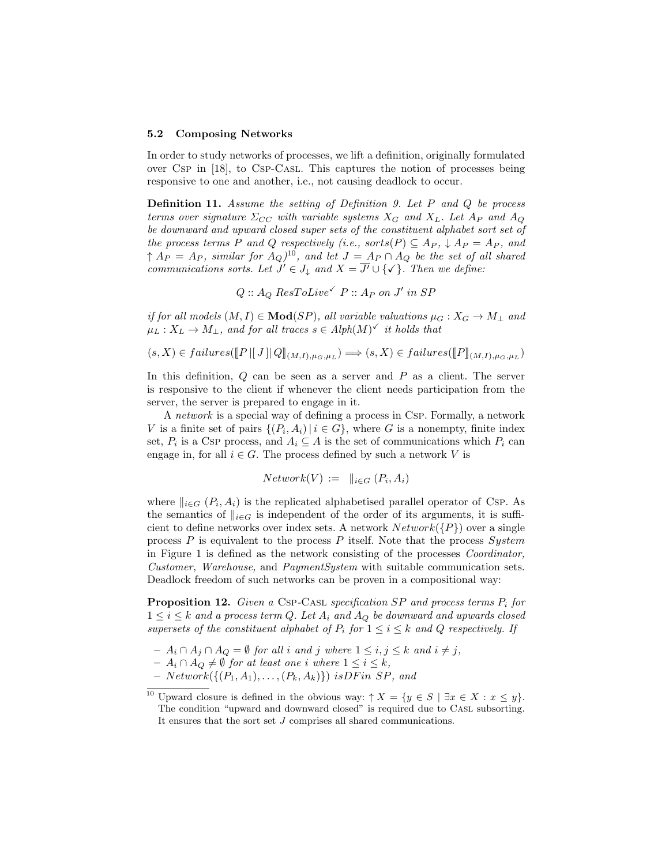#### 5.2 Composing Networks

In order to study networks of processes, we lift a definition, originally formulated over Csp in [18], to Csp-Casl. This captures the notion of processes being responsive to one and another, i.e., not causing deadlock to occur.

**Definition 11.** Assume the setting of Definition 9. Let P and Q be process terms over signature  $\Sigma_{CC}$  with variable systems  $X_G$  and  $X_L$ . Let  $A_P$  and  $A_Q$ be downward and upward closed super sets of the constituent alphabet sort set of the process terms P and Q respectively (i.e., sorts(P)  $\subseteq$  A<sub>P</sub>,  $\downarrow$  A<sub>P</sub> = A<sub>P</sub>, and  $\uparrow A_P = A_P$ , similar for  $A_Q$ )<sup>10</sup>, and let  $J = A_P \cap A_Q$  be the set of all shared communications sorts. Let  $J' \in J_{\downarrow}$  and  $X = \overline{J'} \cup {\checkmark}$ . Then we define:

$$
Q :: A_Q ResToLive ^{\checkmark} P :: A_P on J' \text{ in } SP
$$

if for all models  $(M, I) \in Mod(SP)$ , all variable valuations  $\mu_G : X_G \to M_{\perp}$  and  $\mu_L: X_L \to M_\perp$ , and for all traces  $s \in Alph(M)^\checkmark$  it holds that

$$
(s, X) \in failures([\![P\,||\,J\,||\,Q]\!]_{(M,I),\mu_G,\mu_L}) \Longrightarrow (s, X) \in failures([\![P]\!]_{(M,I),\mu_G,\mu_L})
$$

In this definition,  $Q$  can be seen as a server and  $P$  as a client. The server is responsive to the client if whenever the client needs participation from the server, the server is prepared to engage in it.

A network is a special way of defining a process in Csp. Formally, a network V is a finite set of pairs  $\{(P_i, A_i) | i \in G\}$ , where G is a nonempty, finite index set,  $P_i$  is a Csp process, and  $A_i \subseteq A$  is the set of communications which  $P_i$  can engage in, for all  $i \in G$ . The process defined by such a network V is

$$
Network(V) := ||_{i \in G} (P_i, A_i)
$$

where  $\|_{i \in G}$   $(P_i, A_i)$  is the replicated alphabetised parallel operator of Csp. As the semantics of  $\|_{i \in G}$  is independent of the order of its arguments, it is sufficient to define networks over index sets. A network  $Network({P})$  over a single process  $P$  is equivalent to the process  $P$  itself. Note that the process  $System$ in Figure 1 is defined as the network consisting of the processes Coordinator, Customer, Warehouse, and PaymentSystem with suitable communication sets. Deadlock freedom of such networks can be proven in a compositional way:

**Proposition 12.** Given a CSP-CASL specification SP and process terms  $P_i$  for  $1 \leq i \leq k$  and a process term Q. Let  $A_i$  and  $A_Q$  be downward and upwards closed supersets of the constituent alphabet of  $P_i$  for  $1 \le i \le k$  and  $Q$  respectively. If

- $A_i \cap A_j \cap A_Q = \emptyset$  for all i and j where  $1 \leq i, j \leq k$  and  $i \neq j$ ,
- $A_i \cap A_Q \neq \emptyset$  for at least one i where  $1 \leq i \leq k$ ,
- $-$  Network( $\{(P_1, A_1), \ldots, (P_k, A_k)\}\$  is DF in SP, and

<sup>10</sup> Upward closure is defined in the obvious way:  $\uparrow X = \{y \in S \mid \exists x \in X : x \leq y\}.$ The condition "upward and downward closed" is required due to Casl subsorting. It ensures that the sort set J comprises all shared communications.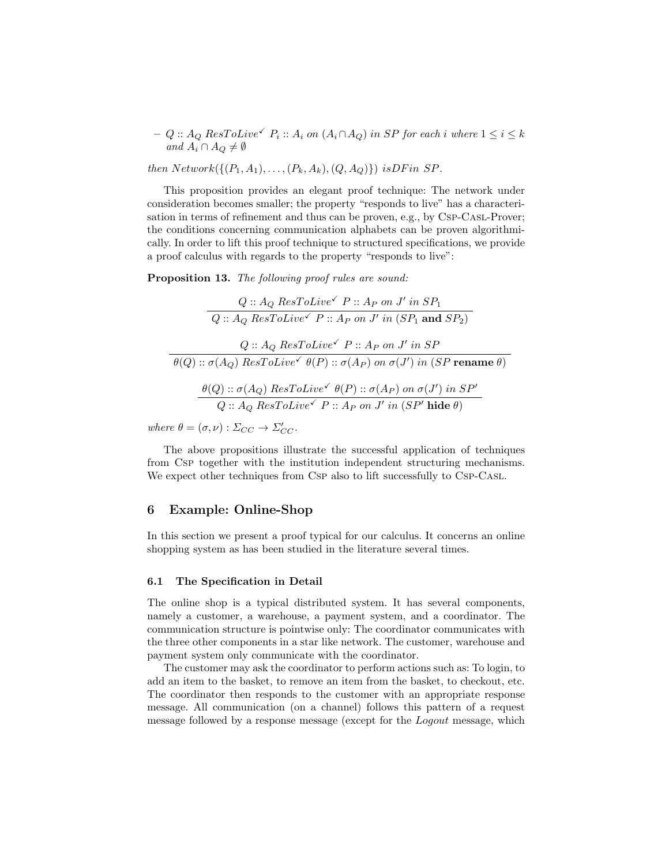$-Q:: A_Q ResToLive^{\checkmark} P_i:: A_i on (A_i \cap A_Q)$  in SP for each i where  $1 \leq i \leq k$ and  $A_i \cap A_Q \neq \emptyset$ 

then  $Network({P_1, A_1), \ldots, (P_k, A_k), (Q, A_Q)}$ ) isDF in SP.

This proposition provides an elegant proof technique: The network under consideration becomes smaller; the property "responds to live" has a characterisation in terms of refinement and thus can be proven, e.g., by Csp-Casl-Prover; the conditions concerning communication alphabets can be proven algorithmically. In order to lift this proof technique to structured specifications, we provide a proof calculus with regards to the property "responds to live":

Proposition 13. The following proof rules are sound:

$$
Q :: A_Q ResToLive^{\checkmark} P :: A_P on J' in SP_1
$$
  

$$
Q :: A_Q ResToLive^{\checkmark} P :: A_P on J' in (SP_1 and SP_2)
$$
  

$$
Q :: A_Q ResToLive^{\checkmark} P :: A_P on J' in SP
$$
  

$$
\theta(Q) :: \sigma(A_Q) ResToLive^{\checkmark} \theta(P) :: \sigma(A_P) on \sigma(J') in (SP \textbf{ rename } \theta)
$$
  

$$
\theta(Q) :: \sigma(A_Q) ResToLive^{\checkmark} \theta(P) :: \sigma(A_P) on \sigma(J') in SP'
$$
  

$$
Q :: A_Q ResToLive^{\checkmark} P :: A_P on J' in (SP' hide \theta)
$$

where  $\theta = (\sigma, \nu) : \Sigma_{CC} \to \Sigma'_{CC}$ .

The above propositions illustrate the successful application of techniques from Csp together with the institution independent structuring mechanisms. We expect other techniques from Csp also to lift successfully to Csp-Casl.

## 6 Example: Online-Shop

In this section we present a proof typical for our calculus. It concerns an online shopping system as has been studied in the literature several times.

## 6.1 The Specification in Detail

The online shop is a typical distributed system. It has several components, namely a customer, a warehouse, a payment system, and a coordinator. The communication structure is pointwise only: The coordinator communicates with the three other components in a star like network. The customer, warehouse and payment system only communicate with the coordinator.

The customer may ask the coordinator to perform actions such as: To login, to add an item to the basket, to remove an item from the basket, to checkout, etc. The coordinator then responds to the customer with an appropriate response message. All communication (on a channel) follows this pattern of a request message followed by a response message (except for the Logout message, which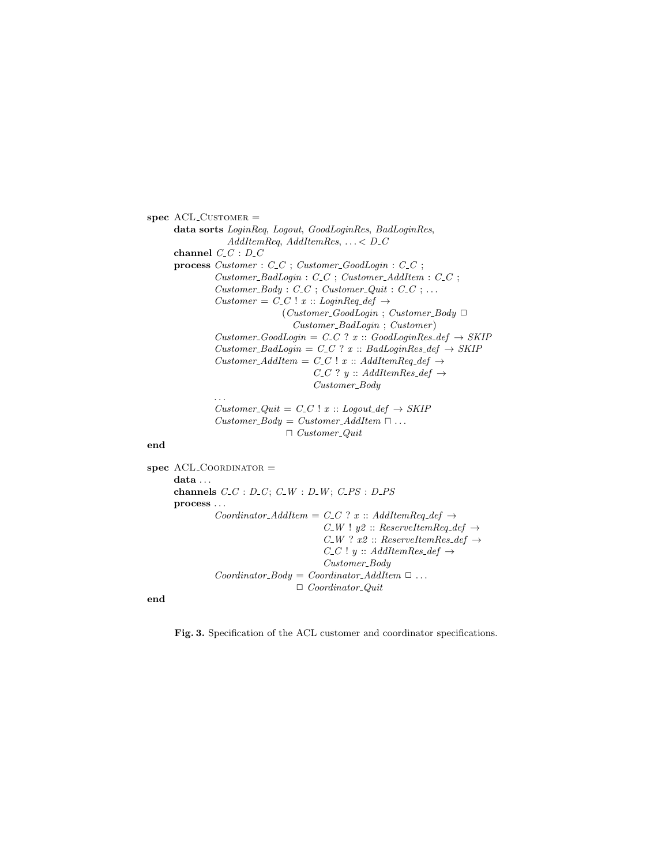$spec$  ACL\_CUSTOMER  $=$ data sorts LoginReq, Logout, GoodLoginRes, BadLoginRes, AddItemReq, AddItemRes,  $\ldots$  < D\_C channel  $C_{-}C$  :  $D_{-}C$ process  $Customer : C_C$ ;  $Customer\_GoodLogin : C_C$ ;  $Customer\_BadLogin : C\_C$ ;  $Customer\_AddItem : C\_C$ ;  $Customer\_Body: C\_C; Customer\_Quit: C\_C; ...$ Customer =  $C\_C$  ! x :: LoginReq\_def  $\rightarrow$  $(Customer\_GoodLogin ; Customer\_Body \Box$ Customer BadLogin ; Customer )  $Customer\_GoodLogin = C_C$  ?  $x :: GoodLoginRes\_def \rightarrow SKIP$  $Customer\_BadLogin = C_C$  ?  $x :: BadLoginRes\_def \rightarrow SKIP$ Customer\_AddItem =  $C\_C$  ! x :: AddItemReq\_def  $\rightarrow$  $C_C$ ? y :: AddItemRes\_def  $\rightarrow$  $Customer\_Body$ . . .  $Customer\_Quit = C\_C$  !  $x :: Logout\_def \rightarrow SKIP$ Customer\_Body = Customer\_AddItem  $\Box \dots$ 

#### end

 $spec$  ACL\_COORDINATOR  $=$ data ... channels  $C\_C$ :  $D\_C$ ;  $C\_W$ :  $D\_W$ ;  $C\_PS$ :  $D\_PS$ process . . . Coordinator\_AddItem = C\_C ? x :: AddItemReq\_def  $\rightarrow$  $C_W$  !  $y2$  :: ReserveItemReq\_def  $\rightarrow$  $C_W$ ?  $x2 :: ReserveltemRes\_def \rightarrow$  $C\_C$ !  $y :: AddItemRes\_def \rightarrow$ Customer\_Body  $Coordinate_Body = Coordinate\_AddItem \ \Box \ \dots$  $\Box$  Coordinator\_Quit

 $\Box$  Customer\_Quit

end

Fig. 3. Specification of the ACL customer and coordinator specifications.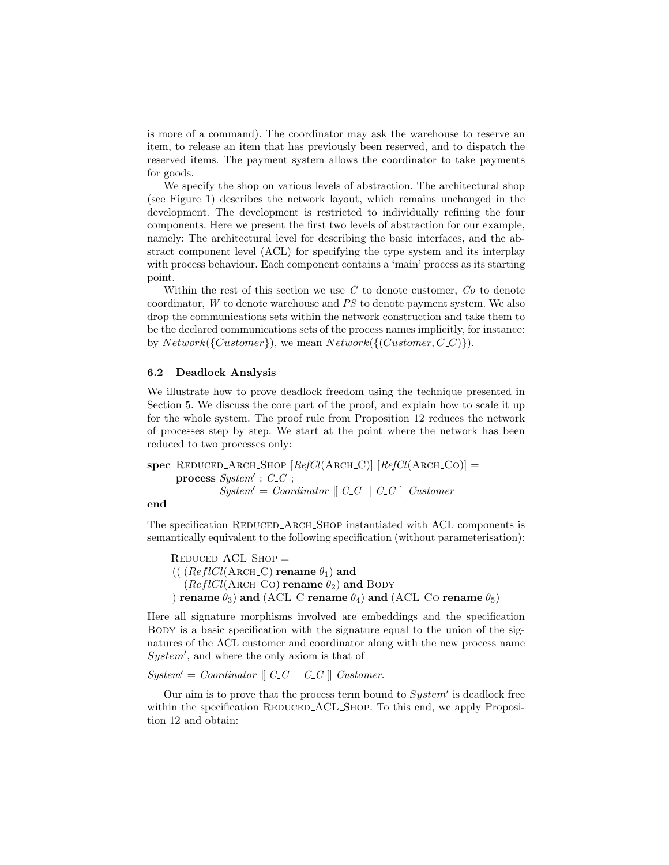is more of a command). The coordinator may ask the warehouse to reserve an item, to release an item that has previously been reserved, and to dispatch the reserved items. The payment system allows the coordinator to take payments for goods.

We specify the shop on various levels of abstraction. The architectural shop (see Figure 1) describes the network layout, which remains unchanged in the development. The development is restricted to individually refining the four components. Here we present the first two levels of abstraction for our example, namely: The architectural level for describing the basic interfaces, and the abstract component level (ACL) for specifying the type system and its interplay with process behaviour. Each component contains a 'main' process as its starting point.

Within the rest of this section we use  $C$  to denote customer,  $Co$  to denote coordinator, W to denote warehouse and PS to denote payment system. We also drop the communications sets within the network construction and take them to be the declared communications sets of the process names implicitly, for instance: by  $Network({\{Customer\}})$ , we mean  $Network({\{Customer, C_C\}})$ .

## 6.2 Deadlock Analysis

We illustrate how to prove deadlock freedom using the technique presented in Section 5. We discuss the core part of the proof, and explain how to scale it up for the whole system. The proof rule from Proposition 12 reduces the network of processes step by step. We start at the point where the network has been reduced to two processes only:

spec REDUCED ARCH SHOP  $[RefCl(ARCH_C)]$   $[RefCl(ARCH_CO)]$  = process  $System' : C_C$ ;  $System' = Coordinate \mid C_C \mid C_C \mid) \text{ } Customer$ 

## end

The specification REDUCED ARCH SHOP instantiated with ACL components is semantically equivalent to the following specification (without parameterisation):

 $REDUCED\_ACL\_SHOP =$ ((  $(ReflCl(ARCH_C))$  rename  $\theta_1$ ) and  $(ReflCl(ARCH\_CO)$  rename  $\theta_2)$  and BODY ) rename  $\theta_3$ ) and (ACL\_C rename  $\theta_4$ ) and (ACL\_Co rename  $\theta_5$ )

Here all signature morphisms involved are embeddings and the specification BODY is a basic specification with the signature equal to the union of the signatures of the ACL customer and coordinator along with the new process name  $System'$ , and where the only axiom is that of

 $System' = Coordinate \mid C_C \mid C_C \mid) \text{ } Customer.$ 

Our aim is to prove that the process term bound to  $System'$  is deadlock free within the specification REDUCED\_ACL\_SHOP. To this end, we apply Proposition 12 and obtain: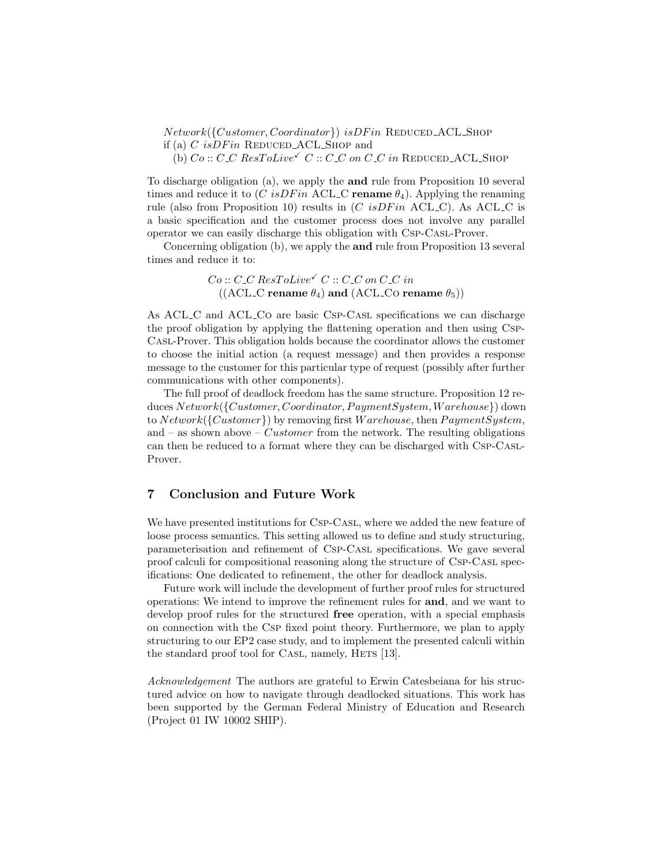$Network({\{Customer, Coordinate\}})$  is  $DFin$  REDUCED\_ACL\_SHOP if (a)  $C$  is  $DFin$  REDUCED\_ACL\_SHOP and (b)  $Co::C\_C$   $ResToLive \checkmark C::C\_C$  on  $C\_C$  in REDUCED\_ACL\_SHOP

To discharge obligation (a), we apply the and rule from Proposition 10 several times and reduce it to  $(C \; isDFin \; ACL_C \; \text{rename} \; \theta_4)$ . Applying the renaming rule (also from Proposition 10) results in  $(C \; isDFin \; ACL_C)$ . As  $ACL_C$  is a basic specification and the customer process does not involve any parallel operator we can easily discharge this obligation with Csp-Casl-Prover.

Concerning obligation (b), we apply the and rule from Proposition 13 several times and reduce it to:

> $Co:: C\_C$   $ResTolive \checkmark C:: C\_C$  on  $C\_C$  in ((ACL\_C rename  $\theta_4$ ) and (ACL\_Co rename  $\theta_5$ ))

As ACL C and ACL Co are basic Csp-Casl specifications we can discharge the proof obligation by applying the flattening operation and then using Csp-Casl-Prover. This obligation holds because the coordinator allows the customer to choose the initial action (a request message) and then provides a response message to the customer for this particular type of request (possibly after further communications with other components).

The full proof of deadlock freedom has the same structure. Proposition 12 reduces  $Network({\it Customer}, Coordinator, PaymentSystem, Warehouse})$  down to  $Network({\{Customer\}})$  by removing first  $W are house$ , then  $PaymentSystem$ , and – as shown above – *Customer* from the network. The resulting obligations can then be reduced to a format where they can be discharged with Csp-Casl-Prover.

# 7 Conclusion and Future Work

We have presented institutions for Csp-Casl, where we added the new feature of loose process semantics. This setting allowed us to define and study structuring, parameterisation and refinement of Csp-Casl specifications. We gave several proof calculi for compositional reasoning along the structure of Csp-Casl specifications: One dedicated to refinement, the other for deadlock analysis.

Future work will include the development of further proof rules for structured operations: We intend to improve the refinement rules for and, and we want to develop proof rules for the structured free operation, with a special emphasis on connection with the Csp fixed point theory. Furthermore, we plan to apply structuring to our EP2 case study, and to implement the presented calculi within the standard proof tool for CASL, namely, HETS [13].

Acknowledgement The authors are grateful to Erwin Catesbeiana for his structured advice on how to navigate through deadlocked situations. This work has been supported by the German Federal Ministry of Education and Research (Project 01 IW 10002 SHIP).